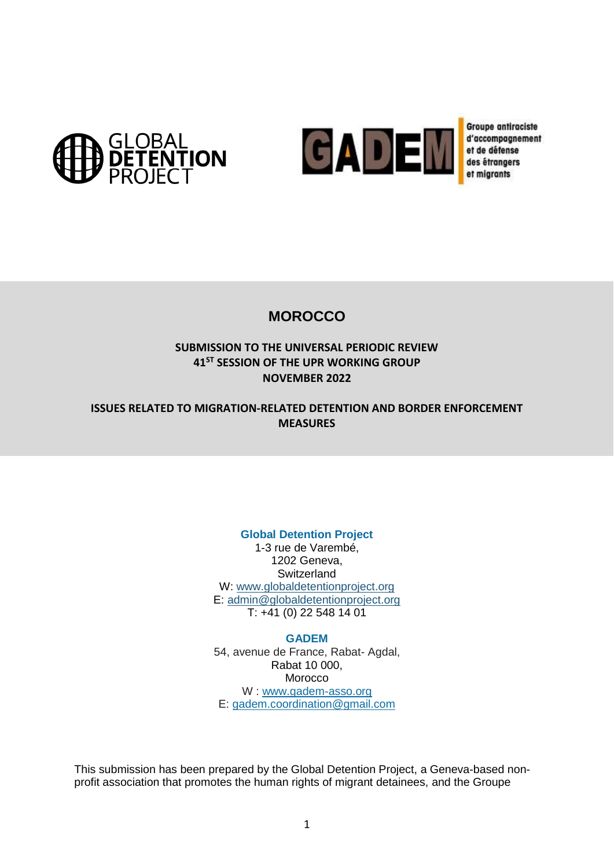



**Groupe antiraciste** d'accompagnement et de défense des étrangers et migrants

# **MOROCCO**

# **SUBMISSION TO THE UNIVERSAL PERIODIC REVIEW 41ST SESSION OF THE UPR WORKING GROUP NOVEMBER 2022**

**ISSUES RELATED TO MIGRATION-RELATED DETENTION AND BORDER ENFORCEMENT MEASURES**

**Global Detention Project** 

1-3 rue de Varembé, 1202 Geneva, **Switzerland** W: [www.globaldetentionproject.org](http://www.globaldetentionproject.org/) E: [admin@globaldetentionproject.org](mailto:admin@globaldetentionproject.org) T: +41 (0) 22 548 14 01

**GADEM**

54, avenue de France, Rabat- Agdal, Rabat 10 000, **Morocco** W : [www.gadem-asso.org](http://www.gadem-asso.org/) E: [gadem.coordination@gmail.com](mailto:gadem.coordination@gmail.com)

This submission has been prepared by the Global Detention Project, a Geneva-based nonprofit association that promotes the human rights of migrant detainees, and the Groupe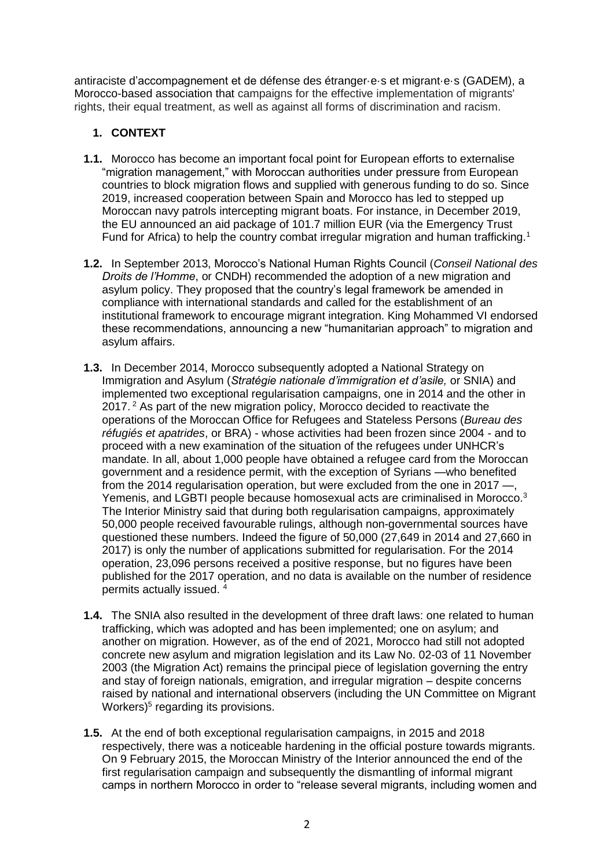antiraciste d'accompagnement et de défense des étranger·e·s et migrant·e·s (GADEM), a Morocco-based association that campaigns for the effective implementation of migrants' rights, their equal treatment, as well as against all forms of discrimination and racism.

# **1. CONTEXT**

- **1.1.** Morocco has become an important focal point for European efforts to externalise "migration management," with Moroccan authorities under pressure from European countries to block migration flows and supplied with generous funding to do so. Since 2019, increased cooperation between Spain and Morocco has led to stepped up Moroccan navy patrols intercepting migrant boats. For instance, in December 2019, the EU announced an aid package of 101.7 million EUR (via the Emergency Trust Fund for Africa) to help the country combat irregular migration and human trafficking.<sup>1</sup>
- **1.2.** In September 2013, Morocco's National Human Rights Council (*Conseil National des Droits de l'Homme*, or CNDH) recommended the adoption of a new migration and asylum policy. They proposed that the country's legal framework be amended in compliance with international standards and called for the establishment of an institutional framework to encourage migrant integration. King Mohammed VI endorsed these recommendations, announcing a new "humanitarian approach" to migration and asylum affairs.
- **1.3.** In December 2014, Morocco subsequently adopted a National Strategy on Immigration and Asylum (*Stratégie nationale d'immigration et d'asile,* or SNIA) and implemented two exceptional regularisation campaigns, one in 2014 and the other in 2017.<sup>2</sup> As part of the new migration policy, Morocco decided to reactivate the operations of the Moroccan Office for Refugees and Stateless Persons (*Bureau des réfugiés et apatrides*, or BRA) - whose activities had been frozen since 2004 - and to proceed with a new examination of the situation of the refugees under UNHCR's mandate. In all, about 1,000 people have obtained a refugee card from the Moroccan government and a residence permit, with the exception of Syrians —who benefited from the 2014 regularisation operation, but were excluded from the one in 2017 —, Yemenis, and LGBTI people because homosexual acts are criminalised in Morocco.<sup>3</sup> The Interior Ministry said that during both regularisation campaigns, approximately 50,000 people received favourable rulings, although non-governmental sources have questioned these numbers. Indeed the figure of 50,000 (27,649 in 2014 and 27,660 in 2017) is only the number of applications submitted for regularisation. For the 2014 operation, 23,096 persons received a positive response, but no figures have been published for the 2017 operation, and no data is available on the number of residence permits actually issued.<sup>4</sup>
- **1.4.** The SNIA also resulted in the development of three draft laws: one related to human trafficking, which was adopted and has been implemented; one on asylum; and another on migration. However, as of the end of 2021, Morocco had still not adopted concrete new asylum and migration legislation and its Law No. 02-03 of 11 November 2003 (the Migration Act) remains the principal piece of legislation governing the entry and stay of foreign nationals, emigration, and irregular migration – despite concerns raised by national and international observers (including the UN Committee on Migrant Workers)<sup>5</sup> regarding its provisions.
- **1.5.** At the end of both exceptional regularisation campaigns, in 2015 and 2018 respectively, there was a noticeable hardening in the official posture towards migrants. On 9 February 2015, the Moroccan Ministry of the Interior announced the end of the first regularisation campaign and subsequently the dismantling of informal migrant camps in northern Morocco in order to "release several migrants, including women and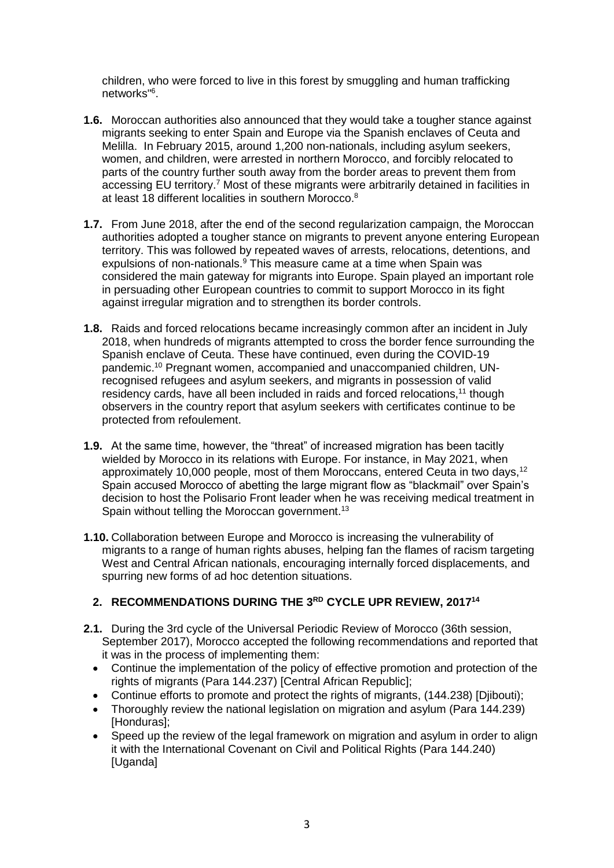children, who were forced to live in this forest by smuggling and human trafficking networks"<sup>6</sup> .

- **1.6.** Moroccan authorities also announced that they would take a tougher stance against migrants seeking to enter Spain and Europe via the Spanish enclaves of Ceuta and Melilla. In February 2015, around 1,200 non-nationals, including asylum seekers, women, and children, were arrested in northern Morocco, and forcibly relocated to parts of the country further south away from the border areas to prevent them from accessing EU territory. <sup>7</sup> Most of these migrants were arbitrarily detained in facilities in at least 18 different localities in southern Morocco.<sup>8</sup>
- **1.7.** From June 2018, after the end of the second regularization campaign, the Moroccan authorities adopted a tougher stance on migrants to prevent anyone entering European territory. This was followed by repeated waves of arrests, relocations, detentions, and expulsions of non-nationals.<sup>9</sup> This measure came at a time when Spain was considered the main gateway for migrants into Europe. Spain played an important role in persuading other European countries to commit to support Morocco in its fight against irregular migration and to strengthen its border controls.
- **1.8.** Raids and forced relocations became increasingly common after an incident in July 2018, when hundreds of migrants attempted to cross the border fence surrounding the Spanish enclave of Ceuta. These have continued, even during the COVID-19 pandemic.<sup>10</sup> Pregnant women, accompanied and unaccompanied children, UNrecognised refugees and asylum seekers, and migrants in possession of valid residency cards, have all been included in raids and forced relocations,<sup>11</sup> though observers in the country report that asylum seekers with certificates continue to be protected from refoulement.
- **1.9.** At the same time, however, the "threat" of increased migration has been tacitly wielded by Morocco in its relations with Europe. For instance, in May 2021, when approximately 10,000 people, most of them Moroccans, entered Ceuta in two days,<sup>12</sup> Spain accused Morocco of abetting the large migrant flow as "blackmail" over Spain's decision to host the Polisario Front leader when he was receiving medical treatment in Spain without telling the Moroccan government.<sup>13</sup>
- **1.10.** Collaboration between Europe and Morocco is increasing the vulnerability of migrants to a range of human rights abuses, helping fan the flames of racism targeting West and Central African nationals, encouraging internally forced displacements, and spurring new forms of ad hoc detention situations.

# **2. RECOMMENDATIONS DURING THE 3RD CYCLE UPR REVIEW, 2017<sup>14</sup>**

- **2.1.** During the 3rd cycle of the Universal Periodic Review of Morocco (36th session, September 2017), Morocco accepted the following recommendations and reported that it was in the process of implementing them:
	- Continue the implementation of the policy of effective promotion and protection of the rights of migrants (Para 144.237) [Central African Republic];
	- Continue efforts to promote and protect the rights of migrants, (144.238) [Djibouti);
	- Thoroughly review the national legislation on migration and asylum (Para 144.239) [Honduras]:
	- Speed up the review of the legal framework on migration and asylum in order to align it with the International Covenant on Civil and Political Rights (Para 144.240) [Uganda]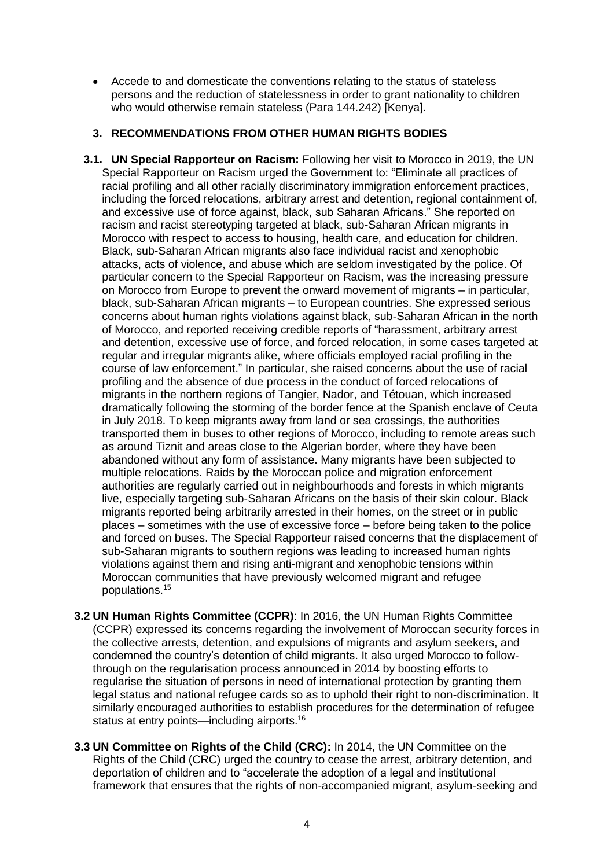Accede to and domesticate the conventions relating to the status of stateless persons and the reduction of statelessness in order to grant nationality to children who would otherwise remain stateless (Para 144.242) [Kenya].

#### **3. RECOMMENDATIONS FROM OTHER HUMAN RIGHTS BODIES**

- **3.1. UN Special Rapporteur on Racism:** Following her visit to Morocco in 2019, the UN Special Rapporteur on Racism urged the Government to: "Eliminate all practices of racial profiling and all other racially discriminatory immigration enforcement practices, including the forced relocations, arbitrary arrest and detention, regional containment of, and excessive use of force against, black, sub Saharan Africans." She reported on racism and racist stereotyping targeted at black, sub-Saharan African migrants in Morocco with respect to access to housing, health care, and education for children. Black, sub-Saharan African migrants also face individual racist and xenophobic attacks, acts of violence, and abuse which are seldom investigated by the police. Of particular concern to the Special Rapporteur on Racism, was the increasing pressure on Morocco from Europe to prevent the onward movement of migrants – in particular, black, sub-Saharan African migrants – to European countries. She expressed serious concerns about human rights violations against black, sub-Saharan African in the north of Morocco, and reported receiving credible reports of "harassment, arbitrary arrest and detention, excessive use of force, and forced relocation, in some cases targeted at regular and irregular migrants alike, where officials employed racial profiling in the course of law enforcement." In particular, she raised concerns about the use of racial profiling and the absence of due process in the conduct of forced relocations of migrants in the northern regions of Tangier, Nador, and Tétouan, which increased dramatically following the storming of the border fence at the Spanish enclave of Ceuta in July 2018. To keep migrants away from land or sea crossings, the authorities transported them in buses to other regions of Morocco, including to remote areas such as around Tiznit and areas close to the Algerian border, where they have been abandoned without any form of assistance. Many migrants have been subjected to multiple relocations. Raids by the Moroccan police and migration enforcement authorities are regularly carried out in neighbourhoods and forests in which migrants live, especially targeting sub-Saharan Africans on the basis of their skin colour. Black migrants reported being arbitrarily arrested in their homes, on the street or in public places – sometimes with the use of excessive force – before being taken to the police and forced on buses. The Special Rapporteur raised concerns that the displacement of sub-Saharan migrants to southern regions was leading to increased human rights violations against them and rising anti-migrant and xenophobic tensions within Moroccan communities that have previously welcomed migrant and refugee populations.<sup>15</sup>
- **3.2 UN Human Rights Committee (CCPR)**: In 2016, the UN Human Rights Committee (CCPR) expressed its concerns regarding the involvement of Moroccan security forces in the collective arrests, detention, and expulsions of migrants and asylum seekers, and condemned the country's detention of child migrants. It also urged Morocco to followthrough on the regularisation process announced in 2014 by boosting efforts to regularise the situation of persons in need of international protection by granting them legal status and national refugee cards so as to uphold their right to non-discrimination. It similarly encouraged authorities to establish procedures for the determination of refugee status at entry points—including airports.<sup>16</sup>
- **3.3 UN Committee on Rights of the Child (CRC):** In 2014, the UN Committee on the Rights of the Child (CRC) urged the country to cease the arrest, arbitrary detention, and deportation of children and to "accelerate the adoption of a legal and institutional framework that ensures that the rights of non-accompanied migrant, asylum-seeking and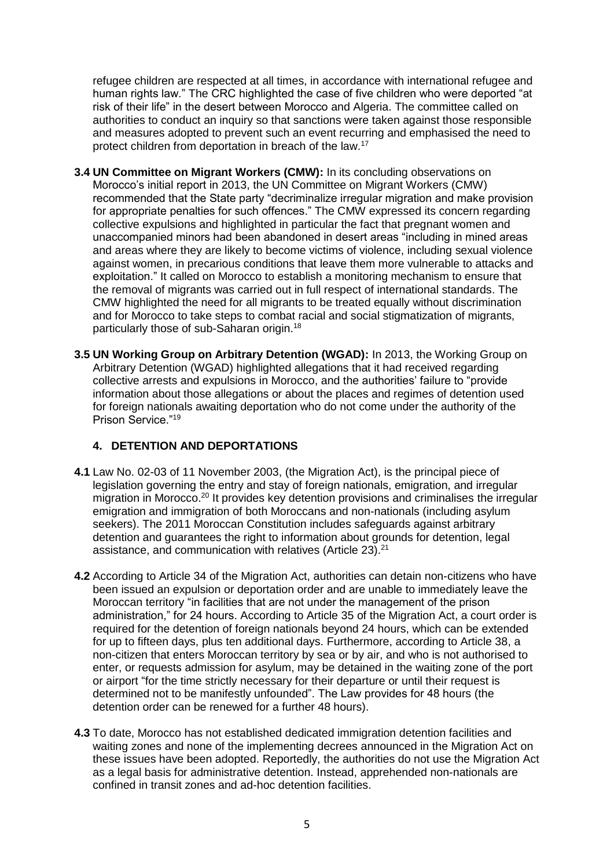refugee children are respected at all times, in accordance with international refugee and human rights law." The CRC highlighted the case of five children who were deported "at risk of their life" in the desert between Morocco and Algeria. The committee called on authorities to conduct an inquiry so that sanctions were taken against those responsible and measures adopted to prevent such an event recurring and emphasised the need to protect children from deportation in breach of the law.<sup>17</sup>

- **3.4 UN Committee on Migrant Workers (CMW):** In its concluding observations on Morocco's initial report in 2013, the UN Committee on Migrant Workers (CMW) recommended that the State party "decriminalize irregular migration and make provision for appropriate penalties for such offences." The CMW expressed its concern regarding collective expulsions and highlighted in particular the fact that pregnant women and unaccompanied minors had been abandoned in desert areas "including in mined areas and areas where they are likely to become victims of violence, including sexual violence against women, in precarious conditions that leave them more vulnerable to attacks and exploitation." It called on Morocco to establish a monitoring mechanism to ensure that the removal of migrants was carried out in full respect of international standards. The CMW highlighted the need for all migrants to be treated equally without discrimination and for Morocco to take steps to combat racial and social stigmatization of migrants, particularly those of sub-Saharan origin.<sup>18</sup>
- **3.5 UN Working Group on Arbitrary Detention (WGAD):** In 2013, the Working Group on Arbitrary Detention (WGAD) highlighted allegations that it had received regarding collective arrests and expulsions in Morocco, and the authorities' failure to "provide information about those allegations or about the places and regimes of detention used for foreign nationals awaiting deportation who do not come under the authority of the Prison Service."<sup>19</sup>

#### **4. DETENTION AND DEPORTATIONS**

- **4.1** Law No. 02-03 of 11 November 2003, (the Migration Act), is the principal piece of legislation governing the entry and stay of foreign nationals, emigration, and irregular migration in Morocco.<sup>20</sup> It provides key detention provisions and criminalises the irregular emigration and immigration of both Moroccans and non-nationals (including asylum seekers). The 2011 Moroccan Constitution includes safeguards against arbitrary detention and guarantees the right to information about grounds for detention, legal assistance, and communication with relatives (Article 23).<sup>21</sup>
- **4.2** According to Article 34 of the Migration Act, authorities can detain non-citizens who have been issued an expulsion or deportation order and are unable to immediately leave the Moroccan territory "in facilities that are not under the management of the prison administration," for 24 hours. According to Article 35 of the Migration Act, a court order is required for the detention of foreign nationals beyond 24 hours, which can be extended for up to fifteen days, plus ten additional days. Furthermore, according to Article 38, a non-citizen that enters Moroccan territory by sea or by air, and who is not authorised to enter, or requests admission for asylum, may be detained in the waiting zone of the port or airport "for the time strictly necessary for their departure or until their request is determined not to be manifestly unfounded". The Law provides for 48 hours (the detention order can be renewed for a further 48 hours).
- **4.3** To date, Morocco has not established dedicated immigration detention facilities and waiting zones and none of the implementing decrees announced in the Migration Act on these issues have been adopted. Reportedly, the authorities do not use the Migration Act as a legal basis for administrative detention. Instead, apprehended non-nationals are confined in transit zones and ad-hoc detention facilities.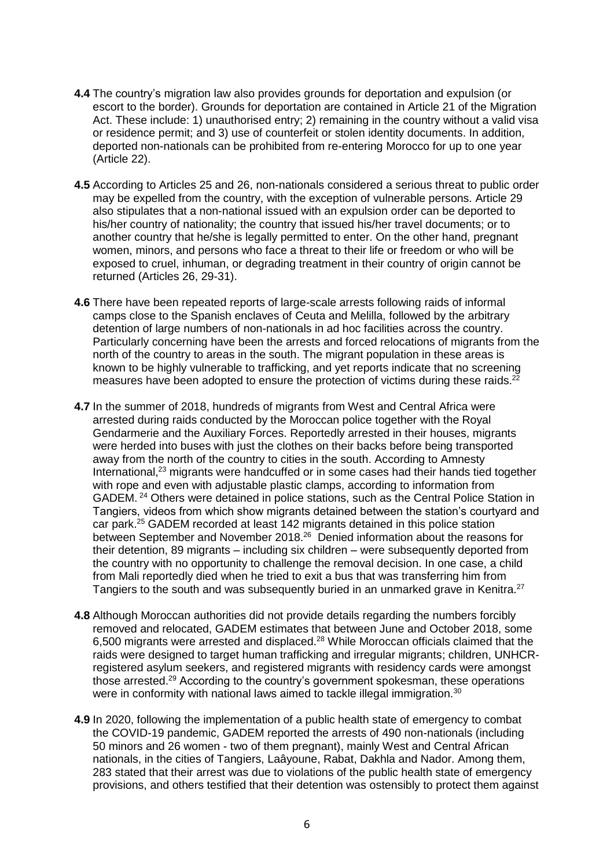- **4.4** The country's migration law also provides grounds for deportation and expulsion (or escort to the border). Grounds for deportation are contained in Article 21 of the Migration Act. These include: 1) unauthorised entry; 2) remaining in the country without a valid visa or residence permit; and 3) use of counterfeit or stolen identity documents. In addition, deported non-nationals can be prohibited from re-entering Morocco for up to one year (Article 22).
- **4.5** According to Articles 25 and 26, non-nationals considered a serious threat to public order may be expelled from the country, with the exception of vulnerable persons. Article 29 also stipulates that a non-national issued with an expulsion order can be deported to his/her country of nationality; the country that issued his/her travel documents; or to another country that he/she is legally permitted to enter. On the other hand, pregnant women, minors, and persons who face a threat to their life or freedom or who will be exposed to cruel, inhuman, or degrading treatment in their country of origin cannot be returned (Articles 26, 29-31).
- **4.6** There have been repeated reports of large-scale arrests following raids of informal camps close to the Spanish enclaves of Ceuta and Melilla, followed by the arbitrary detention of large numbers of non-nationals in ad hoc facilities across the country. Particularly concerning have been the arrests and forced relocations of migrants from the north of the country to areas in the south. The migrant population in these areas is known to be highly vulnerable to trafficking, and yet reports indicate that no screening measures have been adopted to ensure the protection of victims during these raids.<sup>22</sup>
- **4.7** In the summer of 2018, hundreds of migrants from West and Central Africa were arrested during raids conducted by the Moroccan police together with the Royal Gendarmerie and the Auxiliary Forces. Reportedly arrested in their houses, migrants were herded into buses with just the clothes on their backs before being transported away from the north of the country to cities in the south. According to Amnesty International,<sup>23</sup> migrants were handcuffed or in some cases had their hands tied together with rope and even with adjustable plastic clamps, according to information from GADEM. <sup>24</sup> Others were detained in police stations, such as the Central Police Station in Tangiers, videos from which show migrants detained between the station's courtyard and car park.<sup>25</sup> GADEM recorded at least 142 migrants detained in this police station between September and November 2018.<sup>26</sup> Denied information about the reasons for their detention, 89 migrants – including six children – were subsequently deported from the country with no opportunity to challenge the removal decision. In one case, a child from Mali reportedly died when he tried to exit a bus that was transferring him from Tangiers to the south and was subsequently buried in an unmarked grave in Kenitra.<sup>27</sup>
- **4.8** Although Moroccan authorities did not provide details regarding the numbers forcibly removed and relocated, GADEM estimates that between June and October 2018, some 6,500 migrants were arrested and displaced.<sup>28</sup> While Moroccan officials claimed that the raids were designed to target human trafficking and irregular migrants; children, UNHCRregistered asylum seekers, and registered migrants with residency cards were amongst those arrested.<sup>29</sup> According to the country's government spokesman, these operations were in conformity with national laws aimed to tackle illegal immigration.<sup>30</sup>
- **4.9** In 2020, following the implementation of a public health state of emergency to combat the COVID-19 pandemic, GADEM reported the arrests of 490 non-nationals (including 50 minors and 26 women - two of them pregnant), mainly West and Central African nationals, in the cities of Tangiers, Laâyoune, Rabat, Dakhla and Nador. Among them, 283 stated that their arrest was due to violations of the public health state of emergency provisions, and others testified that their detention was ostensibly to protect them against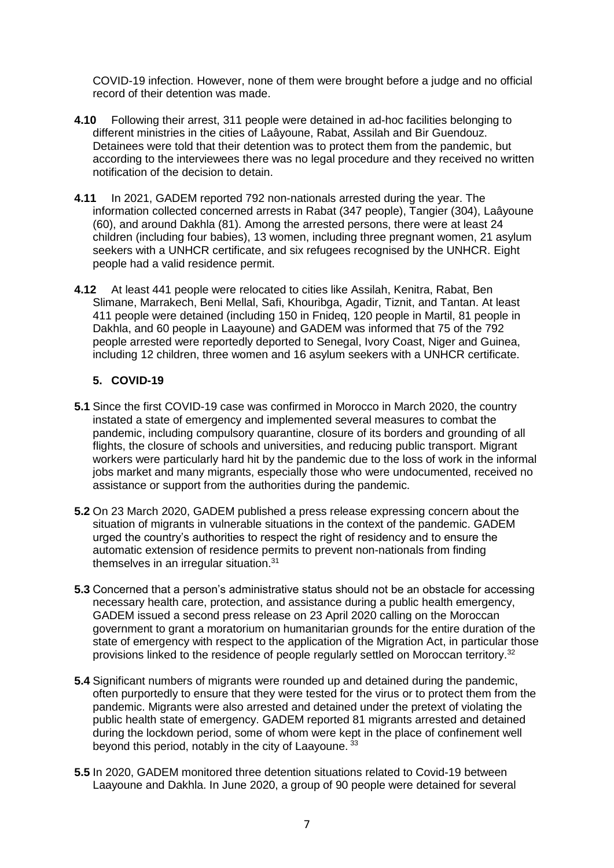COVID-19 infection. However, none of them were brought before a judge and no official record of their detention was made.

- **4.10** Following their arrest, 311 people were detained in ad-hoc facilities belonging to different ministries in the cities of Laâyoune, Rabat, Assilah and Bir Guendouz. Detainees were told that their detention was to protect them from the pandemic, but according to the interviewees there was no legal procedure and they received no written notification of the decision to detain.
- **4.11** In 2021, GADEM reported 792 non-nationals arrested during the year. The information collected concerned arrests in Rabat (347 people), Tangier (304), Laâyoune (60), and around Dakhla (81). Among the arrested persons, there were at least 24 children (including four babies), 13 women, including three pregnant women, 21 asylum seekers with a UNHCR certificate, and six refugees recognised by the UNHCR. Eight people had a valid residence permit.
- **4.12** At least 441 people were relocated to cities like Assilah, Kenitra, Rabat, Ben Slimane, Marrakech, Beni Mellal, Safi, Khouribga, Agadir, Tiznit, and Tantan. At least 411 people were detained (including 150 in Fnideq, 120 people in Martil, 81 people in Dakhla, and 60 people in Laayoune) and GADEM was informed that 75 of the 792 people arrested were reportedly deported to Senegal, Ivory Coast, Niger and Guinea, including 12 children, three women and 16 asylum seekers with a UNHCR certificate.

# **5. COVID-19**

- **5.1** Since the first COVID-19 case was confirmed in Morocco in March 2020, the country instated a state of emergency and implemented several measures to combat the pandemic, including compulsory quarantine, closure of its borders and grounding of all flights, the closure of schools and universities, and reducing public transport. Migrant workers were particularly hard hit by the pandemic due to the loss of work in the informal jobs market and many migrants, especially those who were undocumented, received no assistance or support from the authorities during the pandemic.
- **5.2** On 23 March 2020, GADEM published a press release expressing concern about the situation of migrants in vulnerable situations in the context of the pandemic. GADEM urged the country's authorities to respect the right of residency and to ensure the automatic extension of residence permits to prevent non-nationals from finding themselves in an irregular situation.<sup>31</sup>
- **5.3** Concerned that a person's administrative status should not be an obstacle for accessing necessary health care, protection, and assistance during a public health emergency, GADEM issued a second press release on 23 April 2020 calling on the Moroccan government to grant a moratorium on humanitarian grounds for the entire duration of the state of emergency with respect to the application of the Migration Act, in particular those provisions linked to the residence of people regularly settled on Moroccan territory.<sup>32</sup>
- **5.4** Significant numbers of migrants were rounded up and detained during the pandemic, often purportedly to ensure that they were tested for the virus or to protect them from the pandemic. Migrants were also arrested and detained under the pretext of violating the public health state of emergency. GADEM reported 81 migrants arrested and detained during the lockdown period, some of whom were kept in the place of confinement well beyond this period, notably in the city of Laayoune.<sup>33</sup>
- **5.5** In 2020, GADEM monitored three detention situations related to Covid-19 between Laayoune and Dakhla. In June 2020, a group of 90 people were detained for several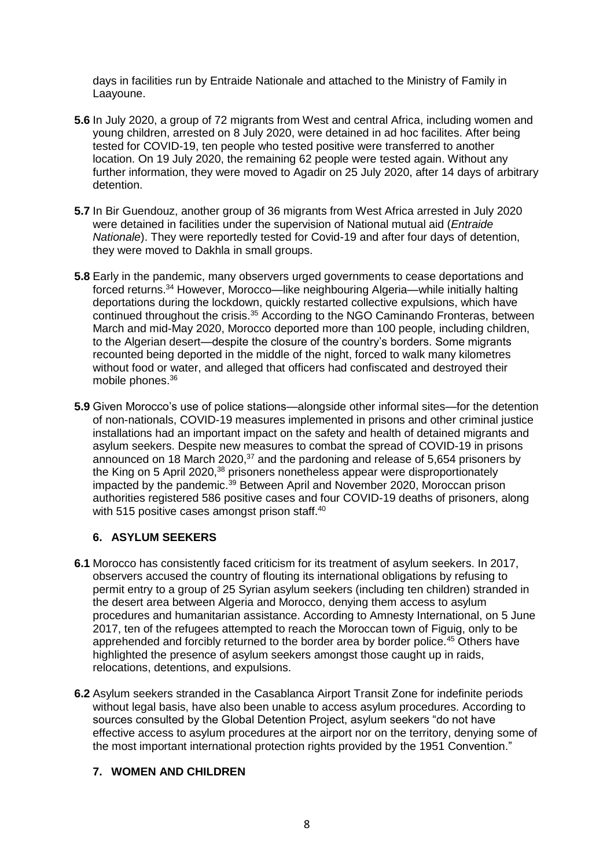days in facilities run by Entraide Nationale and attached to the Ministry of Family in Laayoune.

- **5.6** In July 2020, a group of 72 migrants from West and central Africa, including women and young children, arrested on 8 July 2020, were detained in ad hoc facilites. After being tested for COVID-19, ten people who tested positive were transferred to another location. On 19 July 2020, the remaining 62 people were tested again. Without any further information, they were moved to Agadir on 25 July 2020, after 14 days of arbitrary detention.
- **5.7** In Bir Guendouz, another group of 36 migrants from West Africa arrested in July 2020 were detained in facilities under the supervision of National mutual aid (*Entraide Nationale*). They were reportedly tested for Covid-19 and after four days of detention, they were moved to Dakhla in small groups.
- **5.8** Early in the pandemic, many observers urged governments to cease deportations and forced returns.<sup>34</sup> However, Morocco—like neighbouring Algeria—while initially halting deportations during the lockdown, quickly restarted collective expulsions, which have continued throughout the crisis.<sup>35</sup> According to the NGO Caminando Fronteras, between March and mid-May 2020, Morocco deported more than 100 people, including children, to the Algerian desert—despite the closure of the country's borders. Some migrants recounted being deported in the middle of the night, forced to walk many kilometres without food or water, and alleged that officers had confiscated and destroyed their mobile phones.<sup>36</sup>
- **5.9** Given Morocco's use of police stations—alongside other informal sites—for the detention of non-nationals, COVID-19 measures implemented in prisons and other criminal justice installations had an important impact on the safety and health of detained migrants and asylum seekers. Despite new measures to combat the spread of COVID-19 in prisons announced on 18 March 2020, $37$  and the pardoning and release of 5,654 prisoners by the King on 5 April 2020,<sup>38</sup> prisoners nonetheless appear were disproportionately impacted by the pandemic.<sup>39</sup> Between April and November 2020, Moroccan prison authorities registered 586 positive cases and four COVID-19 deaths of prisoners, along with 515 positive cases amongst prison staff.<sup>40</sup>

# **6. ASYLUM SEEKERS**

- **6.1** Morocco has consistently faced criticism for its treatment of asylum seekers. In 2017, observers accused the country of flouting its international obligations by refusing to permit entry to a group of 25 Syrian asylum seekers (including ten children) stranded in the desert area between Algeria and Morocco, denying them access to asylum procedures and humanitarian assistance. According to Amnesty International, on 5 June 2017, ten of the refugees attempted to reach the Moroccan town of Figuig, only to be apprehended and forcibly returned to the border area by border police.<sup>45</sup> Others have highlighted the presence of asylum seekers amongst those caught up in raids, relocations, detentions, and expulsions.
- **6.2** Asylum seekers stranded in the Casablanca Airport Transit Zone for indefinite periods without legal basis, have also been unable to access asylum procedures. According to sources consulted by the Global Detention Project, asylum seekers "do not have effective access to asylum procedures at the airport nor on the territory, denying some of the most important international protection rights provided by the 1951 Convention."

#### **7. WOMEN AND CHILDREN**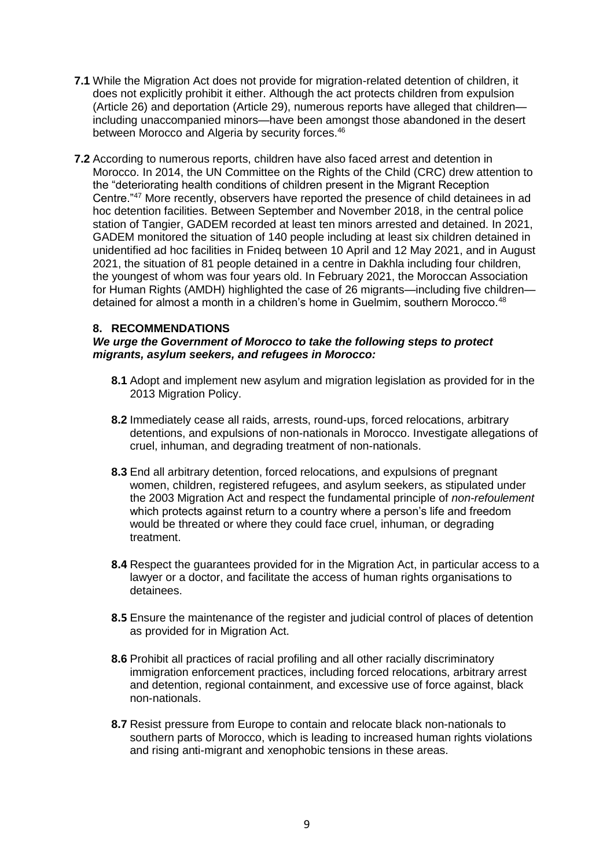- **7.1** While the Migration Act does not provide for migration-related detention of children, it does not explicitly prohibit it either. Although the act protects children from expulsion (Article 26) and deportation (Article 29), numerous reports have alleged that children including unaccompanied minors—have been amongst those abandoned in the desert between Morocco and Algeria by security forces.<sup>46</sup>
- **7.2** According to numerous reports, children have also faced arrest and detention in Morocco. In 2014, the UN Committee on the Rights of the Child (CRC) drew attention to the "deteriorating health conditions of children present in the Migrant Reception Centre."<sup>47</sup> More recently, observers have reported the presence of child detainees in ad hoc detention facilities. Between September and November 2018, in the central police station of Tangier, GADEM recorded at least ten minors arrested and detained. In 2021, GADEM monitored the situation of 140 people including at least six children detained in unidentified ad hoc facilities in Fnideq between 10 April and 12 May 2021, and in August 2021, the situation of 81 people detained in a centre in Dakhla including four children, the youngest of whom was four years old. In February 2021, the Moroccan Association for Human Rights (AMDH) highlighted the case of 26 migrants—including five children detained for almost a month in a children's home in Guelmim, southern Morocco.<sup>48</sup>

#### **8. RECOMMENDATIONS**

#### *We urge the Government of Morocco to take the following steps to protect migrants, asylum seekers, and refugees in Morocco:*

- **8.1** Adopt and implement new asylum and migration legislation as provided for in the 2013 Migration Policy.
- **8.2** Immediately cease all raids, arrests, round-ups, forced relocations, arbitrary detentions, and expulsions of non-nationals in Morocco. Investigate allegations of cruel, inhuman, and degrading treatment of non-nationals.
- **8.3** End all arbitrary detention, forced relocations, and expulsions of pregnant women, children, registered refugees, and asylum seekers, as stipulated under the 2003 Migration Act and respect the fundamental principle of *non-refoulement* which protects against return to a country where a person's life and freedom would be threated or where they could face cruel, inhuman, or degrading treatment.
- **8.4** Respect the guarantees provided for in the Migration Act, in particular access to a lawyer or a doctor, and facilitate the access of human rights organisations to detainees.
- **8.5** Ensure the maintenance of the register and judicial control of places of detention as provided for in Migration Act.
- **8.6** Prohibit all practices of racial profiling and all other racially discriminatory immigration enforcement practices, including forced relocations, arbitrary arrest and detention, regional containment, and excessive use of force against, black non-nationals.
- **8.7** Resist pressure from Europe to contain and relocate black non-nationals to southern parts of Morocco, which is leading to increased human rights violations and rising anti-migrant and xenophobic tensions in these areas.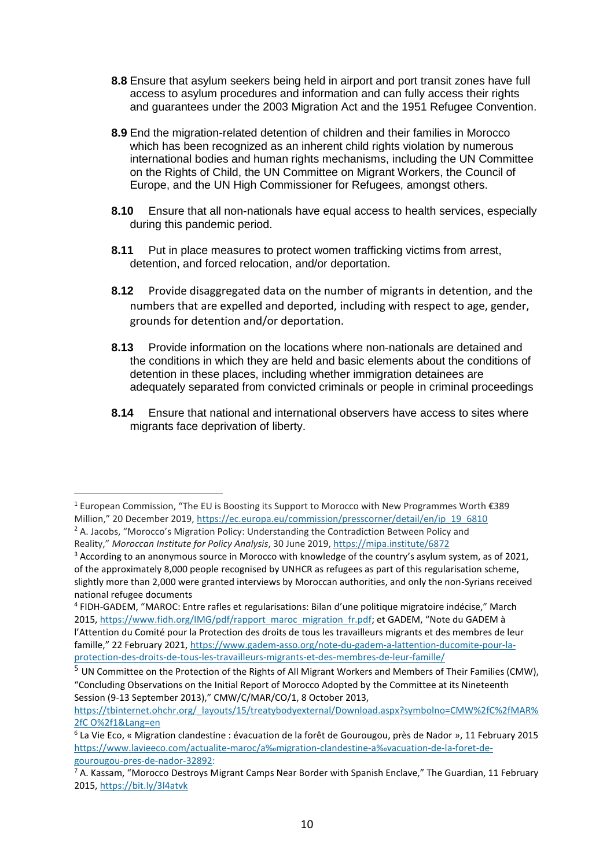- **8.8** Ensure that asylum seekers being held in airport and port transit zones have full access to asylum procedures and information and can fully access their rights and guarantees under the 2003 Migration Act and the 1951 Refugee Convention.
- **8.9** End the migration-related detention of children and their families in Morocco which has been recognized as an inherent child rights violation by numerous international bodies and human rights mechanisms, including the UN Committee on the Rights of Child, the UN Committee on Migrant Workers, the Council of Europe, and the UN High Commissioner for Refugees, amongst others.
- **8.10** Ensure that all non-nationals have equal access to health services, especially during this pandemic period.
- **8.11** Put in place measures to protect women trafficking victims from arrest, detention, and forced relocation, and/or deportation.
- **8.12** Provide disaggregated data on the number of migrants in detention, and the numbers that are expelled and deported, including with respect to age, gender, grounds for detention and/or deportation.
- **8.13** Provide information on the locations where non-nationals are detained and the conditions in which they are held and basic elements about the conditions of detention in these places, including whether immigration detainees are adequately separated from convicted criminals or people in criminal proceedings
- **8.14** Ensure that national and international observers have access to sites where migrants face deprivation of liberty.

-

<sup>&</sup>lt;sup>1</sup> European Commission, "The EU is Boosting its Support to Morocco with New Programmes Worth €389 Million," 20 December 2019, [https://ec.europa.eu/commission/presscorner/detail/en/ip\\_19\\_6810](https://ec.europa.eu/commission/presscorner/detail/en/ip_19_6810)  $2$  A. Jacobs, "Morocco's Migration Policy: Understanding the Contradiction Between Policy and

Reality," *Moroccan Institute for Policy Analysis*, 30 June 2019, <https://mipa.institute/6872>

<sup>&</sup>lt;sup>3</sup> According to an anonymous source in Morocco with knowledge of the country's asylum system, as of 2021, of the approximately 8,000 people recognised by UNHCR as refugees as part of this regularisation scheme, slightly more than 2,000 were granted interviews by Moroccan authorities, and only the non-Syrians received national refugee documents

<sup>4</sup> FIDH-GADEM, "MAROC: Entre rafles et regularisations: Bilan d'une politique migratoire indécise," March 2015, [https://www.fidh.org/IMG/pdf/rapport\\_maroc\\_migration\\_fr.pdf](https://www.fidh.org/IMG/pdf/rapport_maroc_migration_fr.pdf); et GADEM, "Note du GADEM à l'Attention du Comité pour la Protection des droits de tous les travailleurs migrants et des membres de leur famille," 22 February 2021, [https://www.gadem-asso.org/note-du-gadem-a-lattention-ducomite-pour-la](file:///C:/Users/User/Downloads/GADEM,)[protection-des-droits-de-tous-les-travailleurs-migrants-et-des-membres-de-leur-famille/](file:///C:/Users/User/Downloads/GADEM,)

<sup>5</sup> UN Committee on the Protection of the Rights of All Migrant Workers and Members of Their Families (CMW), "Concluding Observations on the Initial Report of Morocco Adopted by the Committee at its Nineteenth Session (9-13 September 2013)," CMW/C/MAR/CO/1, 8 October 2013,

[https://tbinternet.ohchr.org/\\_layouts/15/treatybodyexternal/Download.aspx?symbolno=CMW%2fC%2fMAR%](https://tbinternet.ohchr.org/_layouts/15/treatybodyexternal/Download.aspx?symbolno=CMW%2fC%2fMAR%2fC%20O%2f1&Lang=en) [2fC O%2f1&Lang=en](https://tbinternet.ohchr.org/_layouts/15/treatybodyexternal/Download.aspx?symbolno=CMW%2fC%2fMAR%2fC%20O%2f1&Lang=en)

<sup>6</sup> La Vie Eco, « Migration clandestine : évacuation de la forêt de Gourougou, près de Nador », 11 February 2015 [https://www.lavieeco.com/actualite-](https://www.lavieeco.com/actualite-maroc/a‰migration-clandestine-a‰vacuation-de-la-foret-de-gourougou-pres-de-nador-32892)maroc/a‰migration-clandestine-a‰vacuation-de-la-foret-de[gourougou-pres-de-nador-32892:](https://www.lavieeco.com/actualite-maroc/a‰migration-clandestine-a‰vacuation-de-la-foret-de-gourougou-pres-de-nador-32892)

 $7$  A. Kassam, "Morocco Destroys Migrant Camps Near Border with Spanish Enclave," The Guardian, 11 February 2015, [https://bit.ly/3l4atvk](file:///C:/Users/User/Downloads/CMW/C/MAR/CO/1,%208%20October%202013,%20https:/bit.ly/2VdYDnP)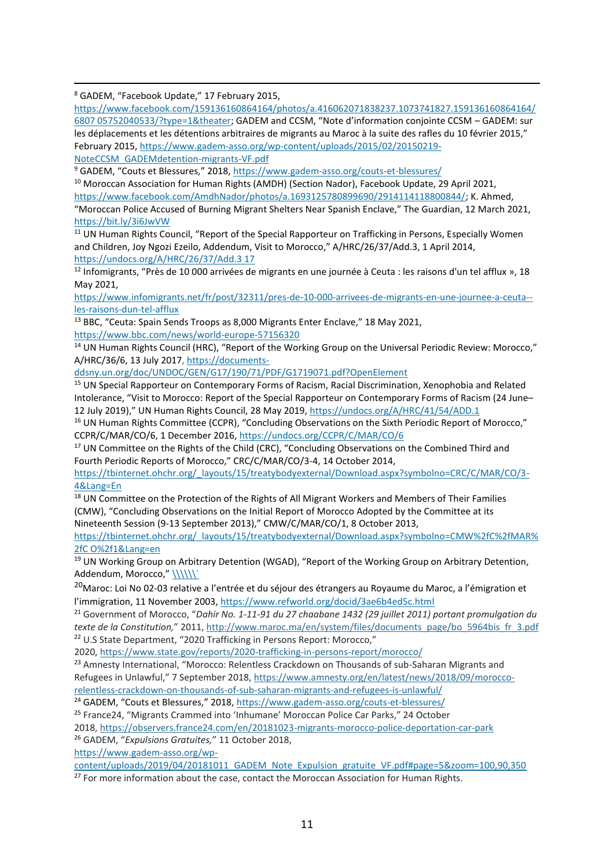<sup>8</sup> GADEM, "Facebook Update," 17 February 2015,

-

[https://www.facebook.com/159136160864164/photos/a.416062071838237.1073741827.159136160864164/](https://www.facebook.com/159136160864164/photos/a.416062071838237.1073741827.159136160864164/6807%2005752040533/?type=1&theater)

[6807 05752040533/?type=1&theater](https://www.facebook.com/159136160864164/photos/a.416062071838237.1073741827.159136160864164/6807%2005752040533/?type=1&theater); GADEM and CCSM, "Note d'information conjointe CCSM – GADEM: sur les déplacements et les détentions arbitraires de migrants au Maroc à la suite des rafles du 10 février 2015," February 2015[, https://www.gadem-asso.org/wp-content/uploads/2015/02/20150219-](https://www.gadem-asso.org/wp-content/uploads/2015/02/20150219-NoteCCSM_GADEMdetention-migrants-VF.pdf) [NoteCCSM\\_GADEMdetention-migrants-VF.pdf](https://www.gadem-asso.org/wp-content/uploads/2015/02/20150219-NoteCCSM_GADEMdetention-migrants-VF.pdf)

<sup>9</sup> GADEM, "Couts et Blessures," 2018, <https://www.gadem-asso.org/couts-et-blessures/>

<sup>10</sup> Moroccan Association for Human Rights (AMDH) (Section Nador), Facebook Update, 29 April 2021,

[https://www.facebook.com/AmdhNador/photos/a.1693125780899690/2914114118800844/;](https://www.facebook.com/AmdhNador/photos/a.1693125780899690/2914114118800844/) K. Ahmed, "Moroccan Police Accused of Burning Migrant Shelters Near Spanish Enclave," The Guardian, 12 March 2021, <https://bit.ly/3i6JwVW>

<sup>11</sup> UN Human Rights Council, "Report of the Special Rapporteur on Trafficking in Persons, Especially Women and Children, Joy Ngozi Ezeilo, Addendum, Visit to Morocco," A/HRC/26/37/Add.3, 1 April 2014, [https://undocs.org/A/HRC/26/37/Add.3 17](https://undocs.org/A/HRC/26/37/Add.3%2017)

<sup>12</sup> Infomigrants, "Près de 10 000 arrivées de migrants en une journée à Ceuta : les raisons d'un tel afflux », 18 May 2021,

[https://www.infomigrants.net/fr/post/32311/pres-de-10-000-arrivees-de-migrants-en-une-journee-a-ceuta-](https://www.infomigrants.net/fr/post/32311/pres-de-10-000-arrivees-de-migrants-en-une-journee-a-ceuta--les-raisons-dun-tel-afflux) [les-raisons-dun-tel-afflux](https://www.infomigrants.net/fr/post/32311/pres-de-10-000-arrivees-de-migrants-en-une-journee-a-ceuta--les-raisons-dun-tel-afflux)

<sup>13</sup> BBC, "Ceuta: Spain Sends Troops as 8,000 Migrants Enter Enclave," 18 May 2021,

<https://www.bbc.com/news/world-europe-57156320>

<sup>14</sup> UN Human Rights Council (HRC), "Report of the Working Group on the Universal Periodic Review: Morocco," A/HRC/36/6, 13 July 2017, [https://documents-](https://documents-ddsny.un.org/doc/UNDOC/GEN/G17/190/71/PDF/G1719071.pdf?OpenElement)

[ddsny.un.org/doc/UNDOC/GEN/G17/190/71/PDF/G1719071.pdf?OpenElement](https://documents-ddsny.un.org/doc/UNDOC/GEN/G17/190/71/PDF/G1719071.pdf?OpenElement)

<sup>15</sup> UN Special Rapporteur on Contemporary Forms of Racism, Racial Discrimination, Xenophobia and Related Intolerance, "Visit to Morocco: Report of the Special Rapporteur on Contemporary Forms of Racism (24 June– 12 July 2019)," UN Human Rights Council, 28 May 2019, <https://undocs.org/A/HRC/41/54/ADD.1>

<sup>16</sup> UN Human Rights Committee (CCPR), "Concluding Observations on the Sixth Periodic Report of Morocco," CCPR/C/MAR/CO/6, 1 December 2016,<https://undocs.org/CCPR/C/MAR/CO/6>

<sup>17</sup> UN Committee on the Rights of the Child (CRC), "Concluding Observations on the Combined Third and Fourth Periodic Reports of Morocco," CRC/C/MAR/CO/3-4, 14 October 2014,

[https://tbinternet.ohchr.org/\\_layouts/15/treatybodyexternal/Download.aspx?symbolno=CRC/C/MAR/CO/3-](https://tbinternet.ohchr.org/_layouts/15/treatybodyexternal/Download.aspx?symbolno=CRC/C/MAR/CO/3-%204&Lang=En) [4&Lang=En](https://tbinternet.ohchr.org/_layouts/15/treatybodyexternal/Download.aspx?symbolno=CRC/C/MAR/CO/3-%204&Lang=En)

<sup>18</sup> UN Committee on the Protection of the Rights of All Migrant Workers and Members of Their Families (CMW), "Concluding Observations on the Initial Report of Morocco Adopted by the Committee at its Nineteenth Session (9-13 September 2013)," CMW/C/MAR/CO/1, 8 October 2013,

[https://tbinternet.ohchr.org/\\_layouts/15/treatybodyexternal/Download.aspx?symbolno=CMW%2fC%2fMAR%](https://tbinternet.ohchr.org/_layouts/15/treatybodyexternal/Download.aspx?symbolno=CMW%2fC%2fMAR%2fC%20O%2f1&Lang=en) [2fC O%2f1&Lang=en](https://tbinternet.ohchr.org/_layouts/15/treatybodyexternal/Download.aspx?symbolno=CMW%2fC%2fMAR%2fC%20O%2f1&Lang=en)

<sup>19</sup> UN Working Group on Arbitrary Detention (WGAD), "Report of the Working Group on Arbitrary Detention, Addendum, Morocco," [\\\\\\`](file:///C:/Users/User/Downloads/A/HRC/27/48/Add.5,%204%20August%202014,%20https:/undocs.org/en/A/HRC/27/48/Add.5)

<sup>20</sup>Maroc: Loi No 02-03 relative a l'entrée et du séjour des étrangers au Royaume du Maroc, a l'émigration et l'immigration, 11 November 2003,<https://www.refworld.org/docid/3ae6b4ed5c.html>

<sup>21</sup> Government of Morocco, "*Dahir No. 1-11-91 du 27 chaabane 1432 (29 juillet 2011) portant promulgation du texte de la Constitution,*" 2011, [http://www.maroc.ma/en/system/files/documents\\_page/bo\\_5964bis\\_fr\\_3.pdf](http://www.maroc.ma/en/system/files/documents_page/bo_5964bis_fr_3.pdf) <sup>22</sup> U.S State Department, "2020 Trafficking in Persons Report: Morocco,"

2020, <https://www.state.gov/reports/2020-trafficking-in-persons-report/morocco/>

<sup>23</sup> Amnesty International, "Morocco: Relentless Crackdown on Thousands of sub-Saharan Migrants and Refugees in Unlawful," 7 September 2018, [https://www.amnesty.org/en/latest/news/2018/09/morocco](https://www.amnesty.org/en/latest/news/2018/09/morocco-relentless-crackdown-on-thousands-of-sub-saharan-migrants-and-refugees-is-unlawful/)[relentless-crackdown-on-thousands-of-sub-saharan-migrants-and-refugees-is-unlawful/](https://www.amnesty.org/en/latest/news/2018/09/morocco-relentless-crackdown-on-thousands-of-sub-saharan-migrants-and-refugees-is-unlawful/)

<sup>24</sup> GADEM, "Couts et Blessures," 2018, <https://www.gadem-asso.org/couts-et-blessures/>

<sup>25</sup> France24, "Migrants Crammed into 'Inhumane' Moroccan Police Car Parks," 24 October

2018, <https://observers.france24.com/en/20181023-migrants-morocco-police-deportation-car-park> <sup>26</sup> GADEM, "*Expulsions Gratuites,*" 11 October 2018,

[https://www.gadem-asso.org/wp-](https://www.gadem-asso.org/wp-content/uploads/2019/04/20181011_GADEM_Note_Expulsion_gratuite_VF.pdf#page=5&zoom=100,90,350)

[content/uploads/2019/04/20181011\\_GADEM\\_Note\\_Expulsion\\_gratuite\\_VF.pdf#page=5&zoom=100,90,350](https://www.gadem-asso.org/wp-content/uploads/2019/04/20181011_GADEM_Note_Expulsion_gratuite_VF.pdf#page=5&zoom=100,90,350)

<sup>27</sup> For more information about the case, contact the Moroccan Association for Human Rights.